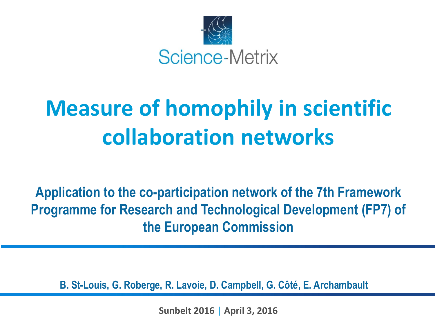

# **Measure of homophily in scientific collaboration networks**

**Application to the co-participation network of the 7th Framework Programme for Research and Technological Development (FP7) of the European Commission**

**B. St-Louis, G. Roberge, R. Lavoie, D. Campbell, G. Côté, E. Archambault**

**Sunbelt 2016** | **April 3, 2016**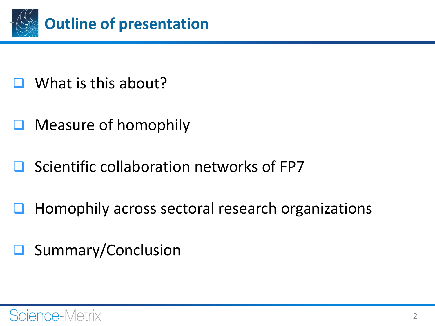

- What is this about?
- $\Box$  Measure of homophily
- Scientific collaboration networks of FP7
- Homophily across sectoral research organizations
- **□** Summary/Conclusion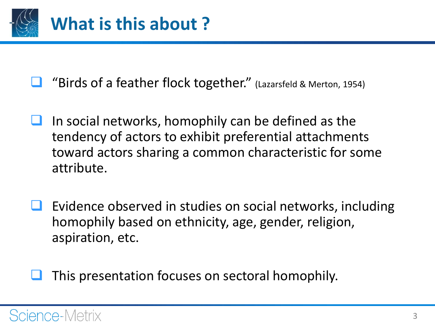

"Birds of a feather flock together." (Lazarsfeld & Merton, 1954)

- In social networks, homophily can be defined as the tendency of actors to exhibit preferential attachments toward actors sharing a common characteristic for some attribute.
- Evidence observed in studies on social networks, including homophily based on ethnicity, age, gender, religion, aspiration, etc.

This presentation focuses on sectoral homophily.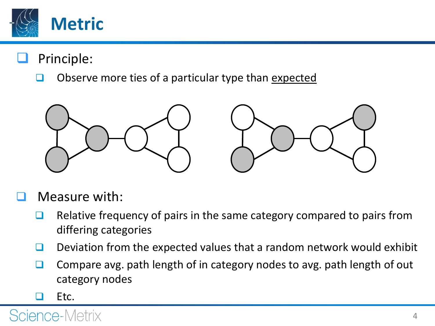

- Principle:
	- Observe more ties of a particular type than expected



- Measure with:
	- $\Box$  Relative frequency of pairs in the same category compared to pairs from differing categories
	- **Q** Deviation from the expected values that a random network would exhibit
	- □ Compare avg. path length of in category nodes to avg. path length of out category nodes
	- Etc.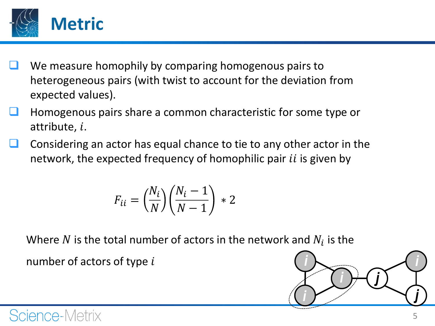

- We measure homophily by comparing homogenous pairs to heterogeneous pairs (with twist to account for the deviation from expected values).
- Homogenous pairs share a common characteristic for some type or attribute,  $i$ .
- Considering an actor has equal chance to tie to any other actor in the network, the expected frequency of homophilic pair *ii* is given by

$$
F_{ii} = \left(\frac{N_i}{N}\right) \left(\frac{N_i - 1}{N - 1}\right) \ast 2
$$

Where  $N$  is the total number of actors in the network and  $N_i$  is the number of actors of type  $i$ 

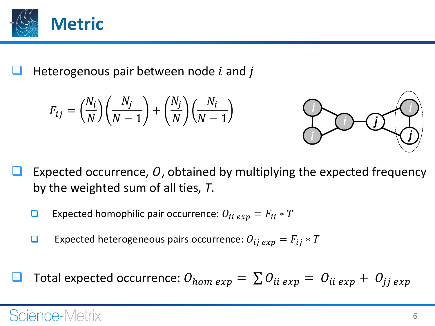

Heterogenous pair between node  $i$  and  $j$ 

$$
F_{ij} = \left(\frac{N_i}{N}\right)\left(\frac{N_j}{N-1}\right) + \left(\frac{N_j}{N}\right)\left(\frac{N_i}{N-1}\right)
$$



- Expected occurrence,  $O$ , obtained by multiplying the expected frequency by the weighted sum of all ties, *T*.
	- **Expected homophilic pair occurrence:**  $O_{ii\exp} = F_{ii} * T$
	- **Expected heterogeneous pairs occurrence:**  $O_{ij\exp} = F_{ij} * T$
- Total expected occurrence:  $O_{hom\ exp} = \sum O_{ii\ exp} = O_{ii\ exp} + O_{ij\ exp}$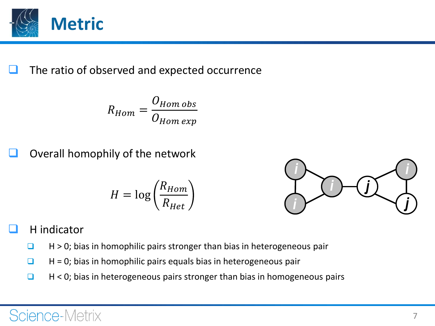

The ratio of observed and expected occurrence

$$
R_{Hom} = \frac{O_{Hom\;obs}}{O_{Hom\;exp}}
$$

Overall homophily of the network

$$
H = \log\left(\frac{R_{Hom}}{R_{Het}}\right)
$$



#### H indicator

- $\Box$  H > 0; bias in homophilic pairs stronger than bias in heterogeneous pair
- $\Box$  H = 0; bias in homophilic pairs equals bias in heterogeneous pair
- $\Box$  H < 0; bias in heterogeneous pairs stronger than bias in homogeneous pairs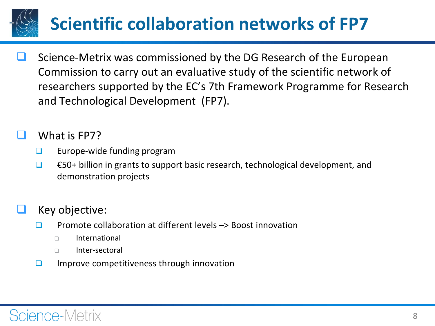## **Scientific collaboration networks of FP7**

 Science-Metrix was commissioned by the DG Research of the European Commission to carry out an evaluative study of the scientific network of researchers supported by the EC's 7th Framework Programme for Research and Technological Development (FP7).

#### What is FP7?

- $\Box$  Europe-wide funding program
- $\Box$   $\epsilon$ 50+ billion in grants to support basic research, technological development, and demonstration projects

#### Key objective:

- Promote collaboration at different levels **–**> Boost innovation
	- International
	- Inter-sectoral
- $\Box$  Improve competitiveness through innovation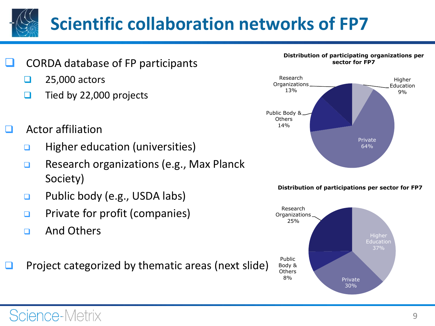# **Scientific collaboration networks of FP7**

- CORDA database of FP participants
	- $\Box$  25,000 actors
	- $\Box$  Tied by 22,000 projects
- Actor affiliation
	- $\Box$  Higher education (universities)
	- **□** Research organizations (e.g., Max Planck Society)
	- **Q** Public body (e.g., USDA labs)
	- **<u>E</u>** Private for profit (companies)
	- a And Others

Science-Metrix

Project categorized by thematic areas (next slide)



**Distribution of participations per sector for FP7**

64%

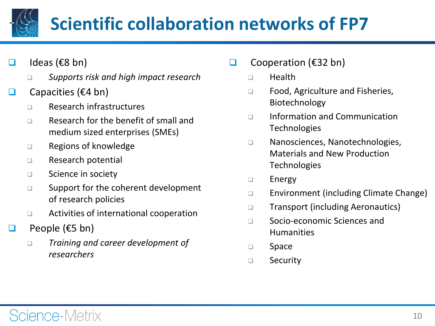## **Scientific collaboration networks of FP7**

- $\Box$  Ideas (€8 bn)
	- *Supports risk and high impact research*
- Capacities ( $€4$  bn)
	- □ Research infrastructures
	- □ Research for the benefit of small and medium sized enterprises (SMEs)
	- □ Regions of knowledge
	- □ Research potential
	- □ Science in society
	- $\square$  Support for the coherent development of research policies
	- □ Activities of international cooperation
- $\Box$  People (€5 bn)
	- *Training and career development of researchers*
- □ Cooperation ( $€32$  bn)
	- □ Health
	- □ Food, Agriculture and Fisheries, Biotechnology
	- □ Information and Communication Technologies
	- □ Nanosciences, Nanotechnologies, Materials and New Production **Technologies**
	- $\square$  Energy
	- □ Environment (including Climate Change)
	- □ Transport (including Aeronautics)
	- □ Socio-economic Sciences and Humanities
	- □ Space
	- □ Security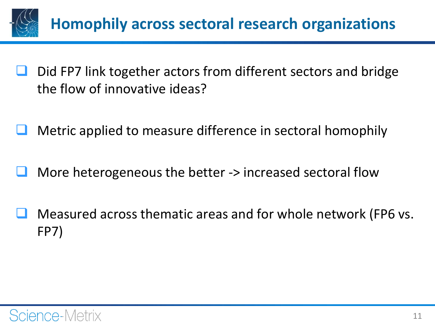

- Did FP7 link together actors from different sectors and bridge the flow of innovative ideas?
- Metric applied to measure difference in sectoral homophily
- More heterogeneous the better -> increased sectoral flow
- Measured across thematic areas and for whole network (FP6 vs. FP7)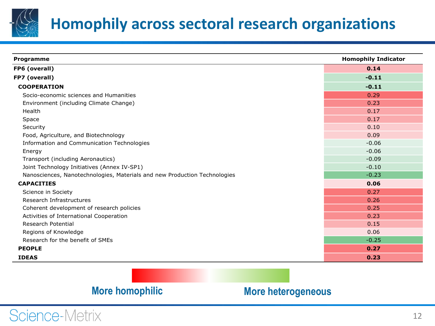

## **Homophily across sectoral research organizations**

| <b>Programme</b>                                                          | <b>Homophily Indicator</b> |
|---------------------------------------------------------------------------|----------------------------|
| FP6 (overall)                                                             | 0.14                       |
| FP7 (overall)                                                             | $-0.11$                    |
| <b>COOPERATION</b>                                                        | $-0.11$                    |
| Socio-economic sciences and Humanities                                    | 0.29                       |
| Environment (including Climate Change)                                    | 0.23                       |
| Health                                                                    | 0.17                       |
| Space                                                                     | 0.17                       |
| Security                                                                  | 0.10                       |
| Food, Agriculture, and Biotechnology                                      | 0.09                       |
| Information and Communication Technologies                                | $-0.06$                    |
| Energy                                                                    | $-0.06$                    |
| Transport (including Aeronautics)                                         | $-0.09$                    |
| Joint Technology Initiatives (Annex IV-SP1)                               | $-0.10$                    |
| Nanosciences, Nanotechnologies, Materials and new Production Technologies | $-0.23$                    |
| <b>CAPACITIES</b>                                                         | 0.06                       |
| Science in Society                                                        | 0.27                       |
| Research Infrastructures                                                  | 0.26                       |
| Coherent development of research policies                                 | 0.25                       |
| Activities of International Cooperation                                   | 0.23                       |
| <b>Research Potential</b>                                                 | 0.15                       |
| Regions of Knowledge                                                      | 0.06                       |
| Research for the benefit of SMEs                                          | $-0.25$                    |
| <b>PEOPLE</b>                                                             | 0.27                       |
| <b>IDEAS</b>                                                              | 0.23                       |

#### **More homophilic More heterogeneous**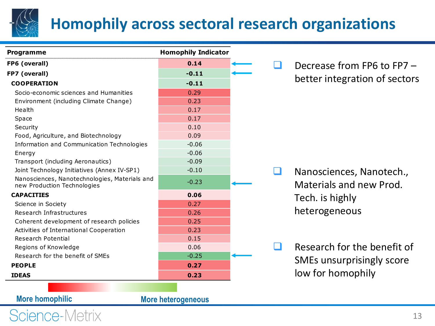

## **Homophily across sectoral research organizations**

| <b>Homophily Indicator</b><br>Programme                                      |         |
|------------------------------------------------------------------------------|---------|
| FP6 (overall)                                                                | 0.14    |
| FP7 (overall)                                                                | $-0.11$ |
| <b>COOPERATION</b>                                                           | $-0.11$ |
| Socio-economic sciences and Humanities                                       | 0.29    |
| Environment (including Climate Change)                                       | 0.23    |
| Health                                                                       | 0.17    |
| Space                                                                        | 0.17    |
| Security                                                                     | 0.10    |
| Food, Agriculture, and Biotechnology                                         | 0.09    |
| Information and Communication Technologies                                   | $-0.06$ |
| Energy                                                                       | $-0.06$ |
| Transport (including Aeronautics)                                            | $-0.09$ |
| Joint Technology Initiatives (Annex IV-SP1)                                  | $-0.10$ |
| Nanosciences, Nanotechnologies, Materials and<br>new Production Technologies | $-0.23$ |
| <b>CAPACITIES</b>                                                            | 0.06    |
| Science in Society                                                           | 0.27    |
| Research Infrastructures                                                     | 0.26    |
| Coherent development of research policies                                    | 0.25    |
| Activities of International Cooperation                                      | 0.23    |
| Research Potential                                                           | 0.15    |
| Regions of Knowledge                                                         | 0.06    |
| Research for the benefit of SMEs                                             | $-0.25$ |
| <b>PEOPLE</b>                                                                | 0.27    |
| <b>IDEAS</b>                                                                 | 0.23    |

 Decrease from FP6 to FP7 – better integration of sectors

- Nanosciences, Nanotech., Materials and new Prod. Tech. is highly heterogeneous
- $\Box$  Research for the benefit of SMEs unsurprisingly score low for homophily

**More homophilic More heterogeneous**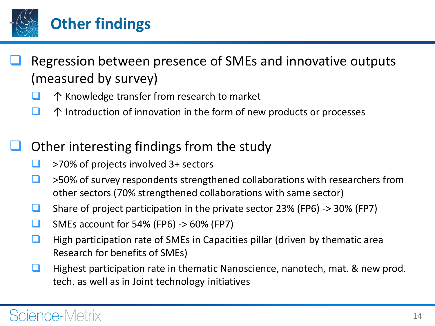

- Regression between presence of SMEs and innovative outputs (measured by survey)
	- ↑ Knowledge transfer from research to market
	- $\Box$   $\uparrow$  Introduction of innovation in the form of new products or processes

### Other interesting findings from the study

- $\Box$  >70% of projects involved 3+ sectors
- $\Box$  >50% of survey respondents strengthened collaborations with researchers from other sectors (70% strengthened collaborations with same sector)
- Share of project participation in the private sector 23% (FP6)  $\rightarrow$  30% (FP7)
- $\Box$  SMEs account for 54% (FP6) -> 60% (FP7)
- $\Box$  High participation rate of SMEs in Capacities pillar (driven by thematic area Research for benefits of SMEs)
- **Highest participation rate in thematic Nanoscience, nanotech, mat. & new prod.** tech. as well as in Joint technology initiatives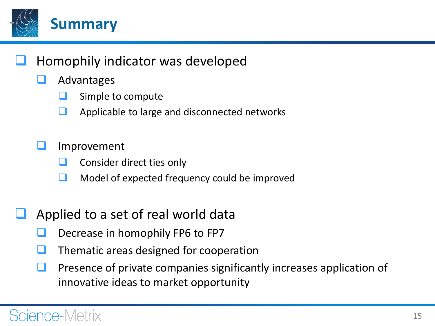

### Homophily indicator was developed

- Advantages
	- Simple to compute
	- $\Box$  Applicable to large and disconnected networks
- Improvement
	- Consider direct ties only
	- Model of expected frequency could be improved
- Applied to a set of real world data
	- Decrease in homophily FP6 to FP7
	- Thematic areas designed for cooperation
	- Presence of private companies significantly increases application of innovative ideas to market opportunity